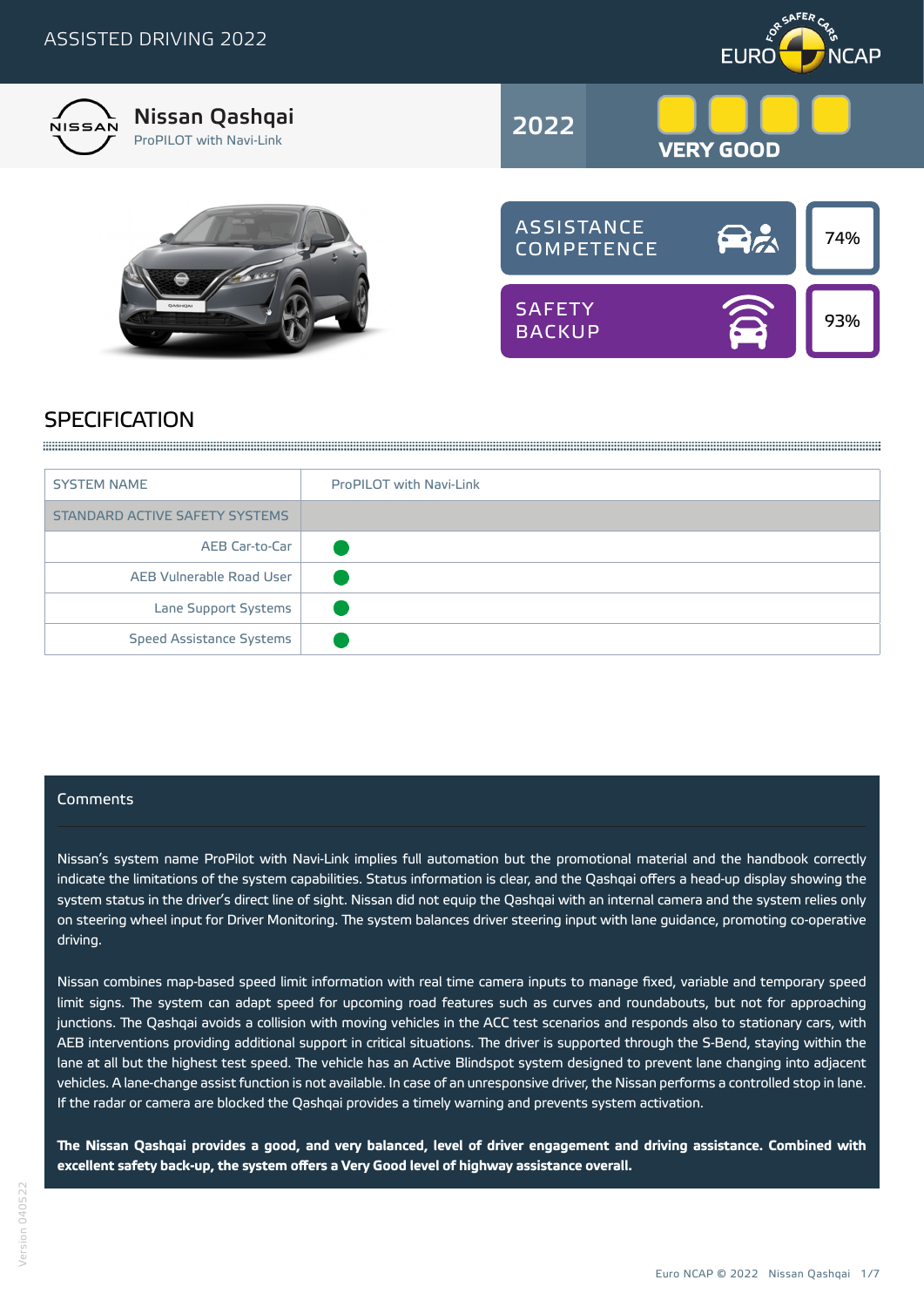



# **SPECIFICATION**

A SUBSTRACT COMPOSITION CONTINUES INTO A REPORT OF THE CONTINUES INTO A REPORT OF THE CONTINUES INTO A REPORT OF THE CONTINUES INTO A REPORT OF THE CONTINUES INTO A REPORT OF THE CONTINUES INTO A REPORT OF THE CONTINUES IN

| <b>SYSTEM NAME</b>              | <b>ProPILOT with Navi-Link</b> |
|---------------------------------|--------------------------------|
| STANDARD ACTIVE SAFETY SYSTEMS  |                                |
| AEB Car-to-Car                  |                                |
| AEB Vulnerable Road User        |                                |
| Lane Support Systems            |                                |
| <b>Speed Assistance Systems</b> |                                |

## Comments

Nissan's system name ProPilot with Navi-Link implies full automation but the promotional material and the handbook correctly indicate the limitations of the system capabilities. Status information is clear, and the Qashqai offers a head-up display showing the system status in the driver's direct line of sight. Nissan did not equip the Qashqai with an internal camera and the system relies only on steering wheel input for Driver Monitoring. The system balances driver steering input with lane guidance, promoting co-operative driving.

Nissan combines map-based speed limit information with real time camera inputs to manage fixed, variable and temporary speed limit signs. The system can adapt speed for upcoming road features such as curves and roundabouts, but not for approaching junctions. The Qashqai avoids a collision with moving vehicles in the ACC test scenarios and responds also to stationary cars, with AEB interventions providing additional support in critical situations. The driver is supported through the S-Bend, staying within the lane at all but the highest test speed. The vehicle has an Active Blindspot system designed to prevent lane changing into adjacent vehicles. A lane-change assist function is not available. In case of an unresponsive driver, the Nissan performs a controlled stop in lane. If the radar or camera are blocked the Qashqai provides a timely warning and prevents system activation.

**The Nissan Qashqai provides a good, and very balanced, level of driver engagement and driving assistance. Combined with excellent safety back-up, the system offers a Very Good level of highway assistance overall.**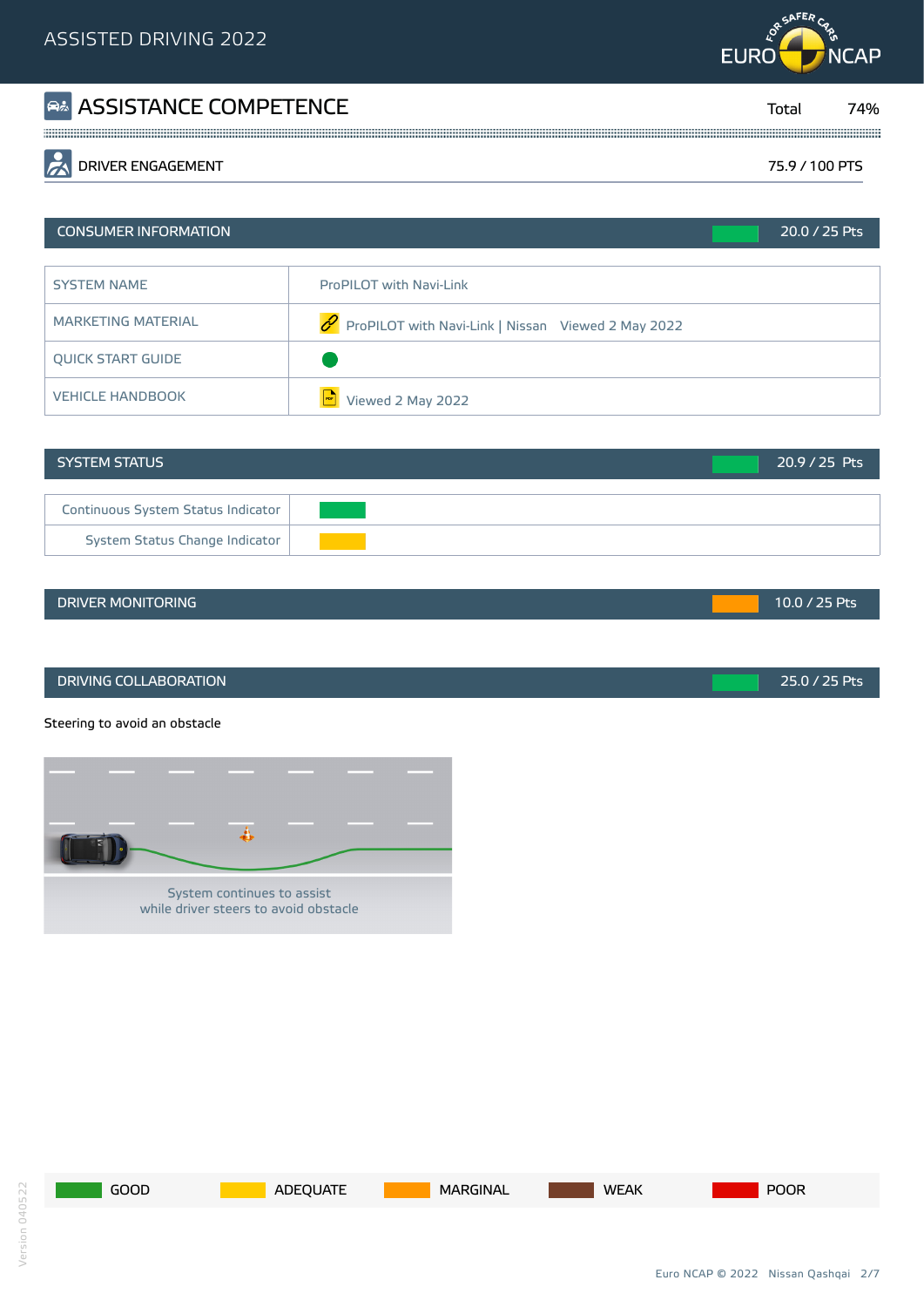

| <b>A ASSISTANCE COMPETENCE</b>  | Tota.          | '4% |
|---------------------------------|----------------|-----|
|                                 |                |     |
| $\sqrt{2}$<br>DRIVER ENGAGEMENT | 75 9 / 100 PTS |     |

# CONSUMER INFORMATION 20.0 / 25 Pts SYSTEM NAME ProPILOT with Navi-Link MARKETING MATERIAL  $\mathscr{P}$  ProPILOT with Navi-Link | Nissan Viewed 2 May 2022 QUICK START GUIDE VEHICLE HANDBOOK **PDF**Viewed 2 May 2022 Green<br>Green Green

| <b>SYSTEM STATUS</b>               | $20.9 / 25$ Pts |
|------------------------------------|-----------------|
|                                    |                 |
| Continuous System Status Indicator |                 |
| System Status Change Indicator     |                 |

#### DRIVER MONITORING **10.0 And 25 Pts** 10.0 / 25 Pts

DRIVING COLLABORATION 25.0 / 25 Pts

Steering to avoid an obstacle





Orange

Green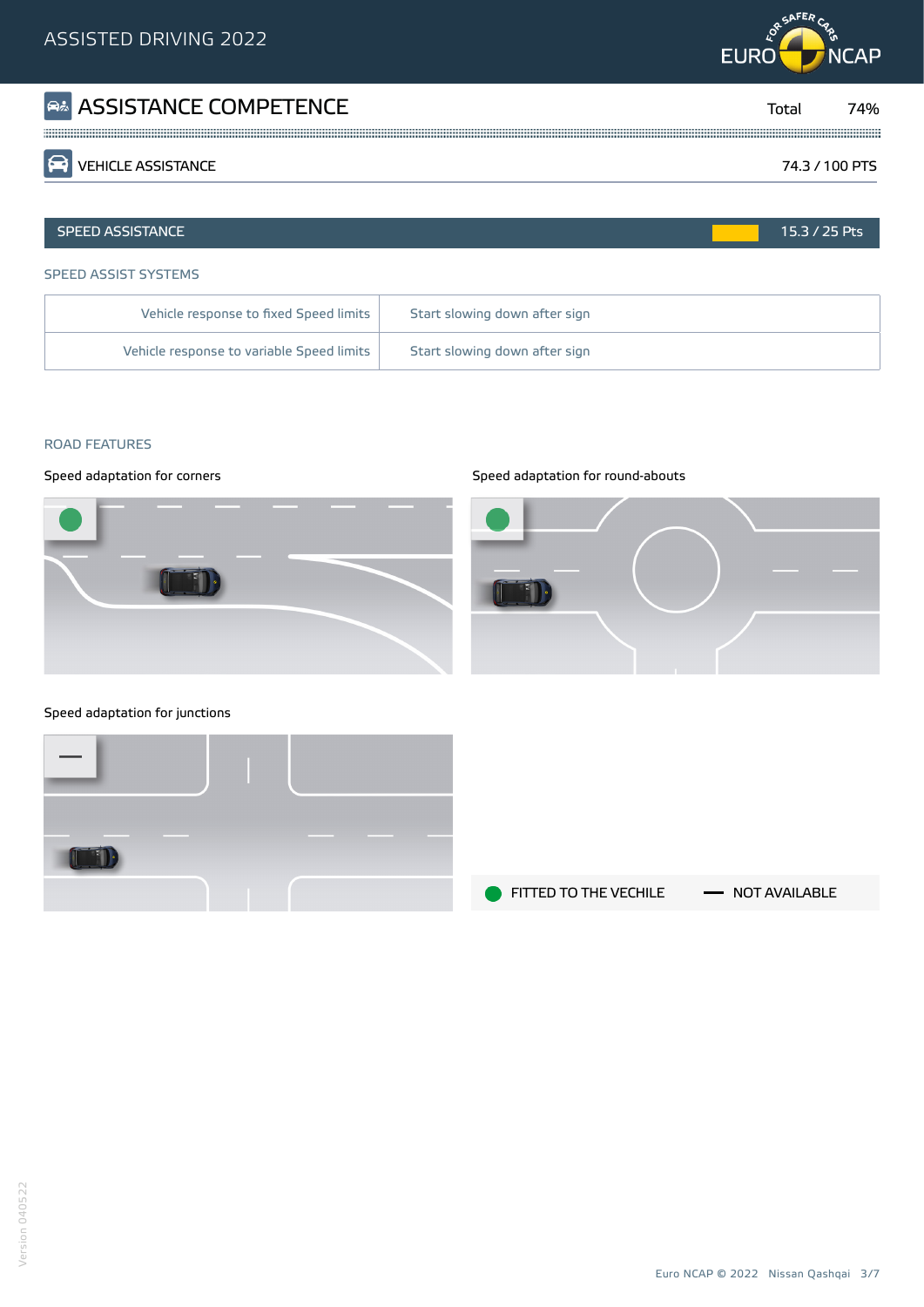# **RESAFERCAN EURO NCAP**

| <b>R&amp; ASSISTANCE COMPETENCE</b> | Total          | 74% |
|-------------------------------------|----------------|-----|
| <b>PEN VEHICLE ASSISTANCE</b>       | 74.3 / 100 PTS |     |
|                                     |                |     |
| <b>SPEED ASSISTANCE</b>             | $15.3/25$ Pts  |     |

#### SPEED ASSIST SYSTEMS

| Vehicle response to fixed Speed limits    | Start slowing down after sign |
|-------------------------------------------|-------------------------------|
| Vehicle response to variable Speed limits | Start slowing down after sign |

#### ROAD FEATURES



#### Speed adaptation for corners strategies of the Speed adaptation for round-abouts



#### Speed adaptation for junctions



FITTED TO THE VECHILE - NOT AVAILABLE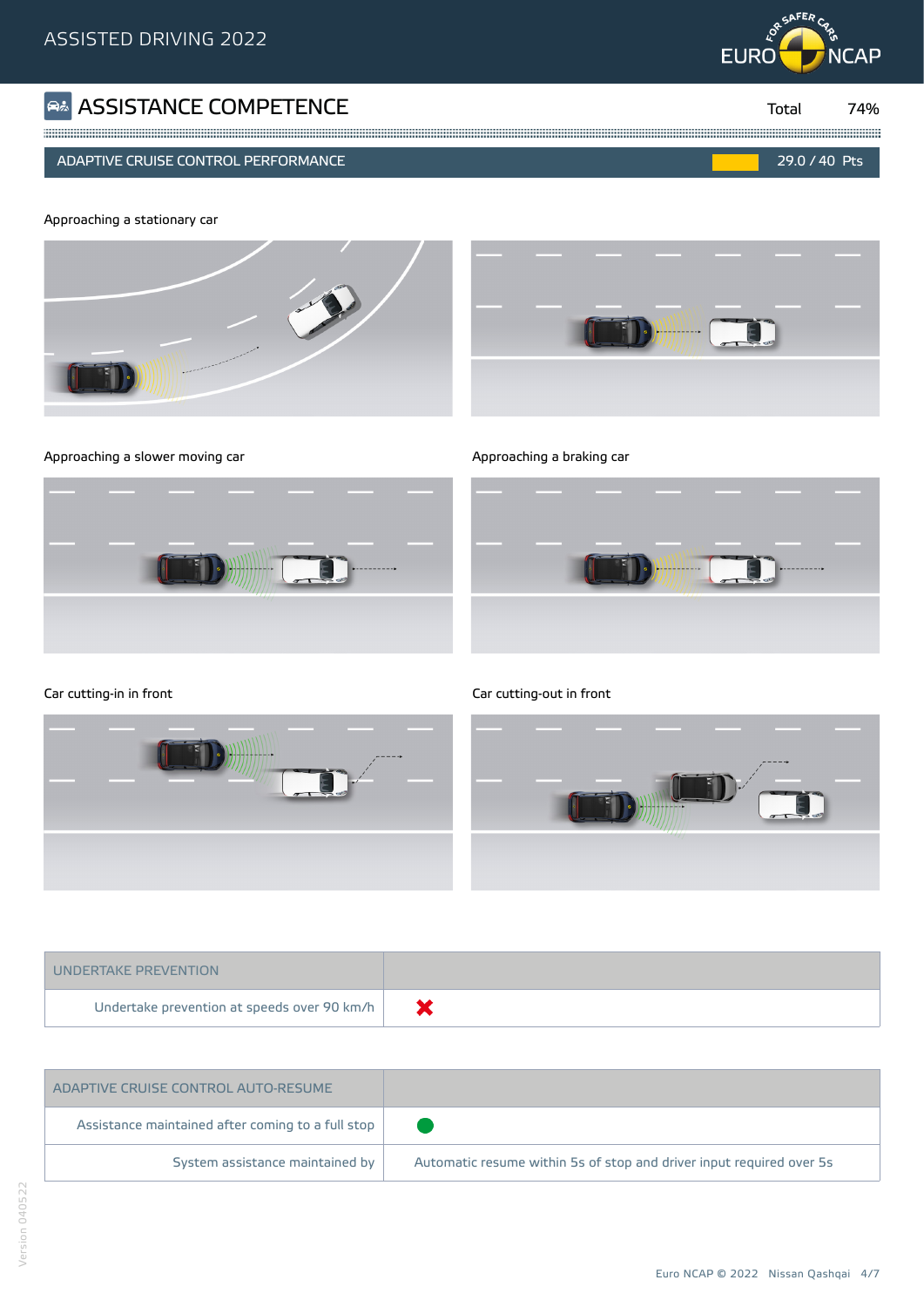## **ASSISTANCE COMPETENCE COMPRETENCE The COMP of Example 2** Total

#### ADAPTIVE CRUISE CONTROL PERFORMANCE 29.0 / 40 Pts













Car cutting-in in front Car cutting-out in front Car cutting-out in front



| UNDERTAKE PREVENTION                        |  |
|---------------------------------------------|--|
| Undertake prevention at speeds over 90 km/h |  |

| ADAPTIVE CRUISE CONTROL AUTO-RESUME               |                                                                      |
|---------------------------------------------------|----------------------------------------------------------------------|
| Assistance maintained after coming to a full stop |                                                                      |
| System assistance maintained by                   | Automatic resume within 5s of stop and driver input required over 5s |



74%



Yellow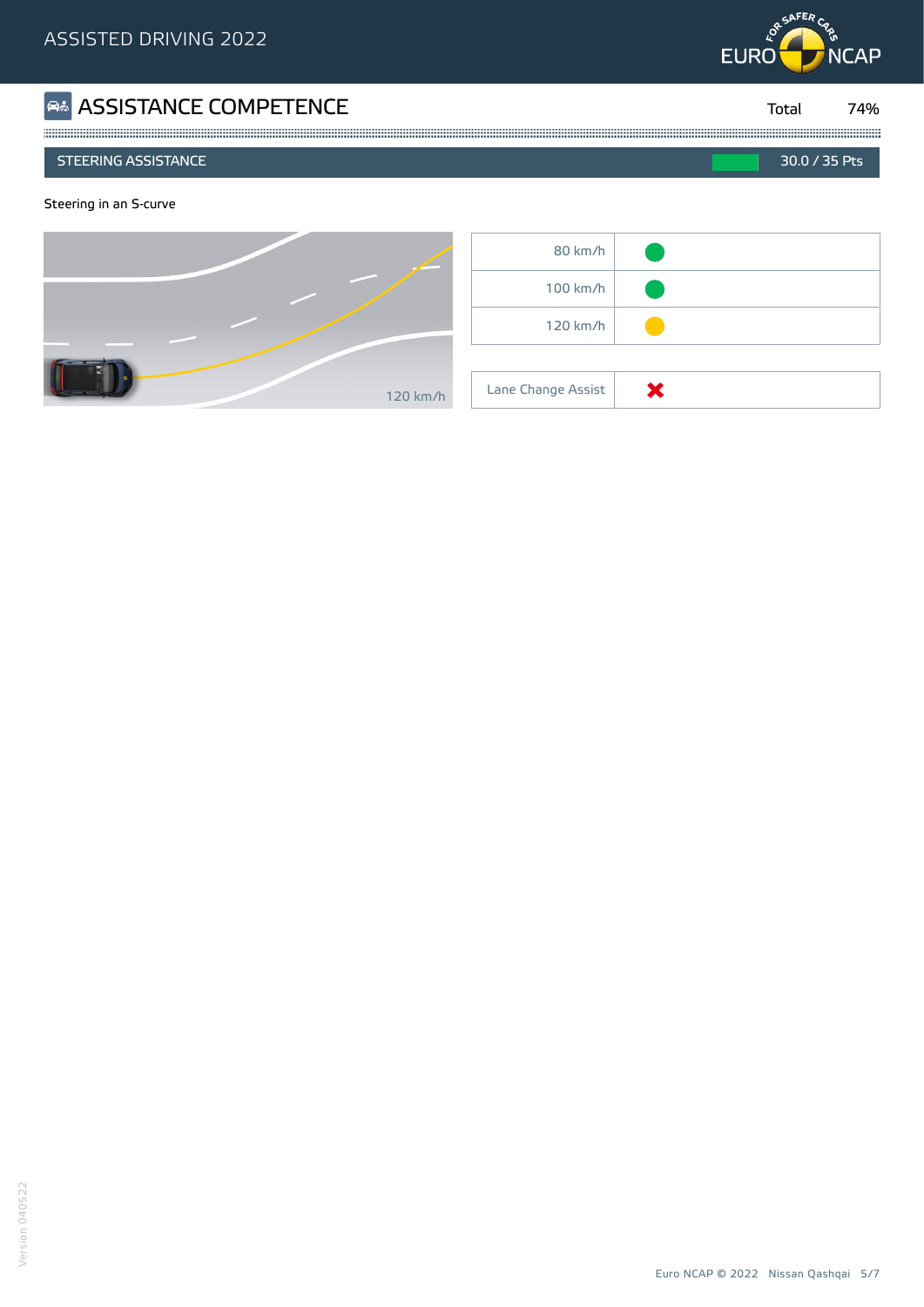

| <b>B&amp; ASSISTANCE COMPETENCE</b> | Total         | 74% |
|-------------------------------------|---------------|-----|
| LSTEERING ASSISTANCE !              | 30.0 / 35 Pts |     |
| Steering in an S-curve              |               |     |

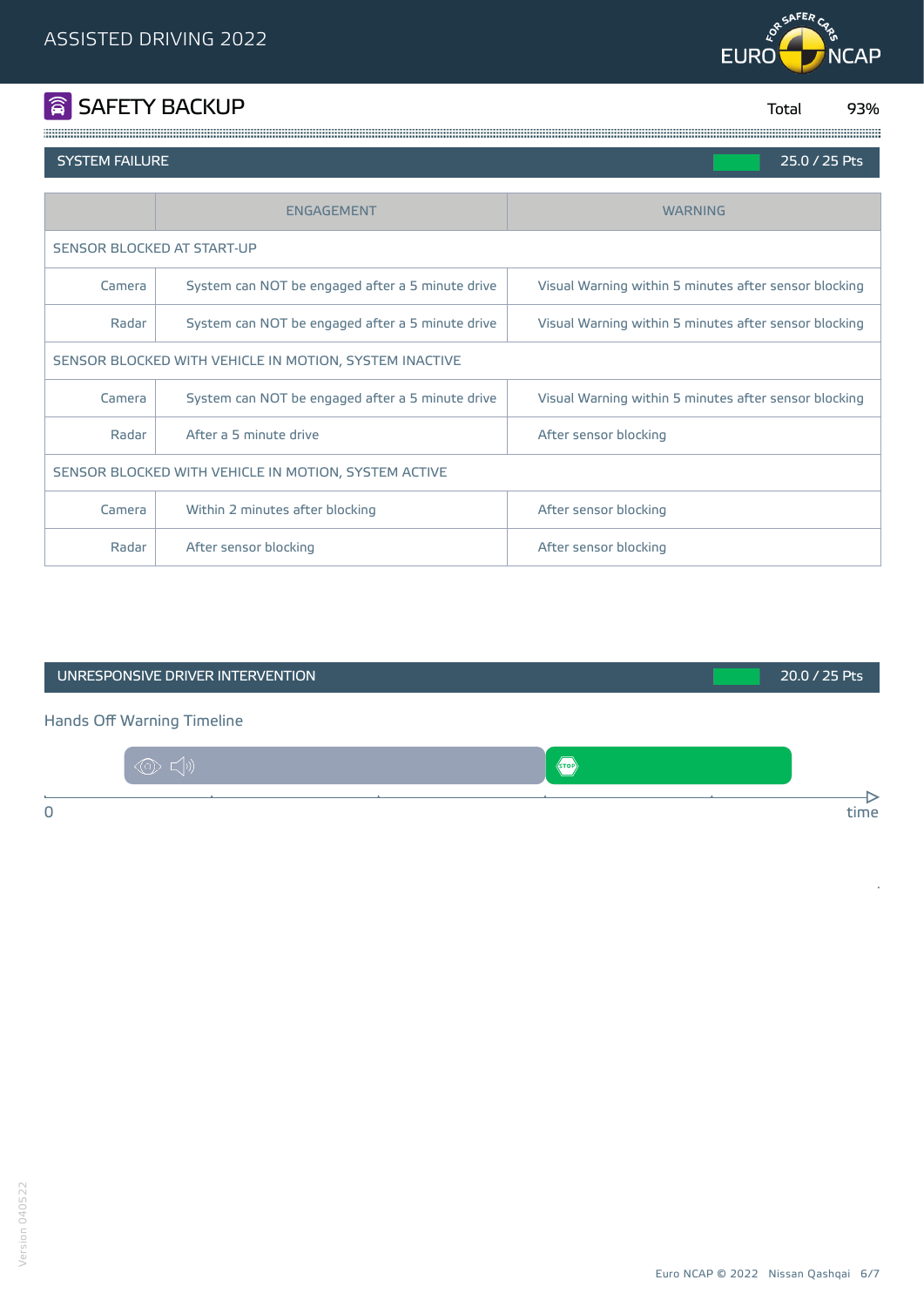

# **SAFETY BACKUP** Total

93%

#### **SYSTEM FAILURE**

| 25.0 / 25 Pts |  |  |
|---------------|--|--|
|               |  |  |

Green<br>Green

|                                                           | <b>ENGAGEMENT</b>                                | <b>WARNING</b>                                        |  |  |
|-----------------------------------------------------------|--------------------------------------------------|-------------------------------------------------------|--|--|
| SENSOR BLOCKED AT START-UP                                |                                                  |                                                       |  |  |
| Camera                                                    | System can NOT be engaged after a 5 minute drive | Visual Warning within 5 minutes after sensor blocking |  |  |
| Radar<br>System can NOT be engaged after a 5 minute drive |                                                  | Visual Warning within 5 minutes after sensor blocking |  |  |
| SENSOR BLOCKED WITH VEHICLE IN MOTION, SYSTEM INACTIVE    |                                                  |                                                       |  |  |
| Camera                                                    | System can NOT be engaged after a 5 minute drive | Visual Warning within 5 minutes after sensor blocking |  |  |
| Radar                                                     | After a 5 minute drive                           | After sensor blocking                                 |  |  |
| SENSOR BLOCKED WITH VEHICLE IN MOTION, SYSTEM ACTIVE      |                                                  |                                                       |  |  |
| Camera                                                    | Within 2 minutes after blocking                  | After sensor blocking                                 |  |  |
| Radar                                                     | After sensor blocking                            | After sensor blocking                                 |  |  |